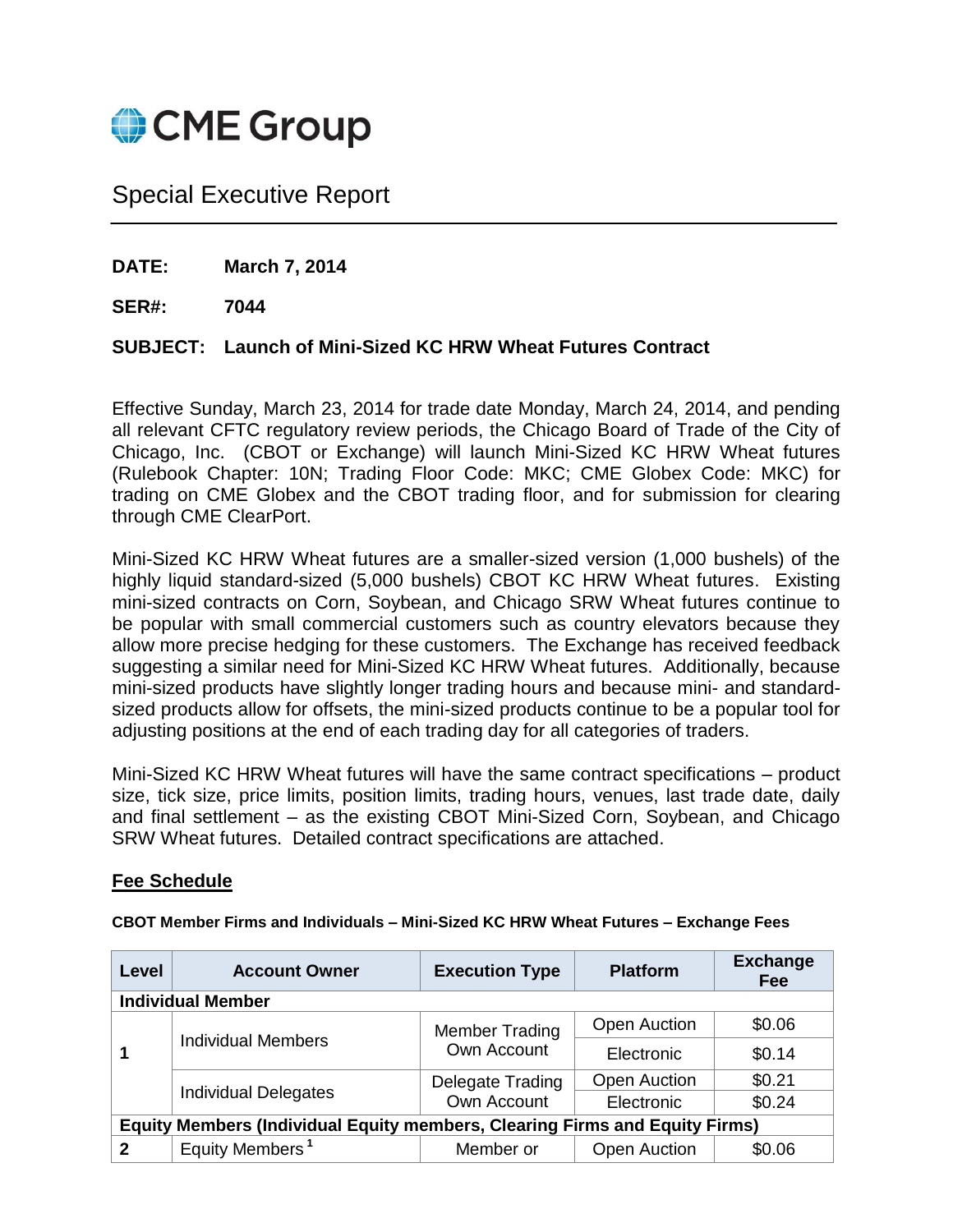

# Special Executive Report

**DATE: March 7, 2014**

**SER#: 7044**

# **SUBJECT: Launch of Mini-Sized KC HRW Wheat Futures Contract**

Effective Sunday, March 23, 2014 for trade date Monday, March 24, 2014, and pending all relevant CFTC regulatory review periods, the Chicago Board of Trade of the City of Chicago, Inc. (CBOT or Exchange) will launch Mini-Sized KC HRW Wheat futures (Rulebook Chapter: 10N; Trading Floor Code: MKC; CME Globex Code: MKC) for trading on CME Globex and the CBOT trading floor, and for submission for clearing through CME ClearPort.

Mini-Sized KC HRW Wheat futures are a smaller-sized version (1,000 bushels) of the highly liquid standard-sized (5,000 bushels) CBOT KC HRW Wheat futures. Existing mini-sized contracts on Corn, Soybean, and Chicago SRW Wheat futures continue to be popular with small commercial customers such as country elevators because they allow more precise hedging for these customers. The Exchange has received feedback suggesting a similar need for Mini-Sized KC HRW Wheat futures. Additionally, because mini-sized products have slightly longer trading hours and because mini- and standardsized products allow for offsets, the mini-sized products continue to be a popular tool for adjusting positions at the end of each trading day for all categories of traders.

Mini-Sized KC HRW Wheat futures will have the same contract specifications – product size, tick size, price limits, position limits, trading hours, venues, last trade date, daily and final settlement – as the existing CBOT Mini-Sized Corn, Soybean, and Chicago SRW Wheat futures. Detailed contract specifications are attached.

## **Fee Schedule**

|  |  |  |  | CBOT Member Firms and Individuals - Mini-Sized KC HRW Wheat Futures - Exchange Fees |
|--|--|--|--|-------------------------------------------------------------------------------------|
|--|--|--|--|-------------------------------------------------------------------------------------|

| Level                                                                              | <b>Account Owner</b>        | <b>Execution Type</b>                | <b>Platform</b>     | <b>Exchange</b><br><b>Fee</b> |
|------------------------------------------------------------------------------------|-----------------------------|--------------------------------------|---------------------|-------------------------------|
|                                                                                    | <b>Individual Member</b>    |                                      |                     |                               |
|                                                                                    |                             | <b>Member Trading</b><br>Own Account | <b>Open Auction</b> | \$0.06                        |
|                                                                                    | <b>Individual Members</b>   |                                      | Electronic          | \$0.14                        |
|                                                                                    | <b>Individual Delegates</b> | Delegate Trading                     | <b>Open Auction</b> | \$0.21                        |
|                                                                                    |                             | Own Account                          | Electronic          | \$0.24                        |
| <b>Equity Members (Individual Equity members, Clearing Firms and Equity Firms)</b> |                             |                                      |                     |                               |
| $\mathbf{2}$                                                                       | Equity Members <sup>1</sup> | Member or                            | <b>Open Auction</b> | \$0.06                        |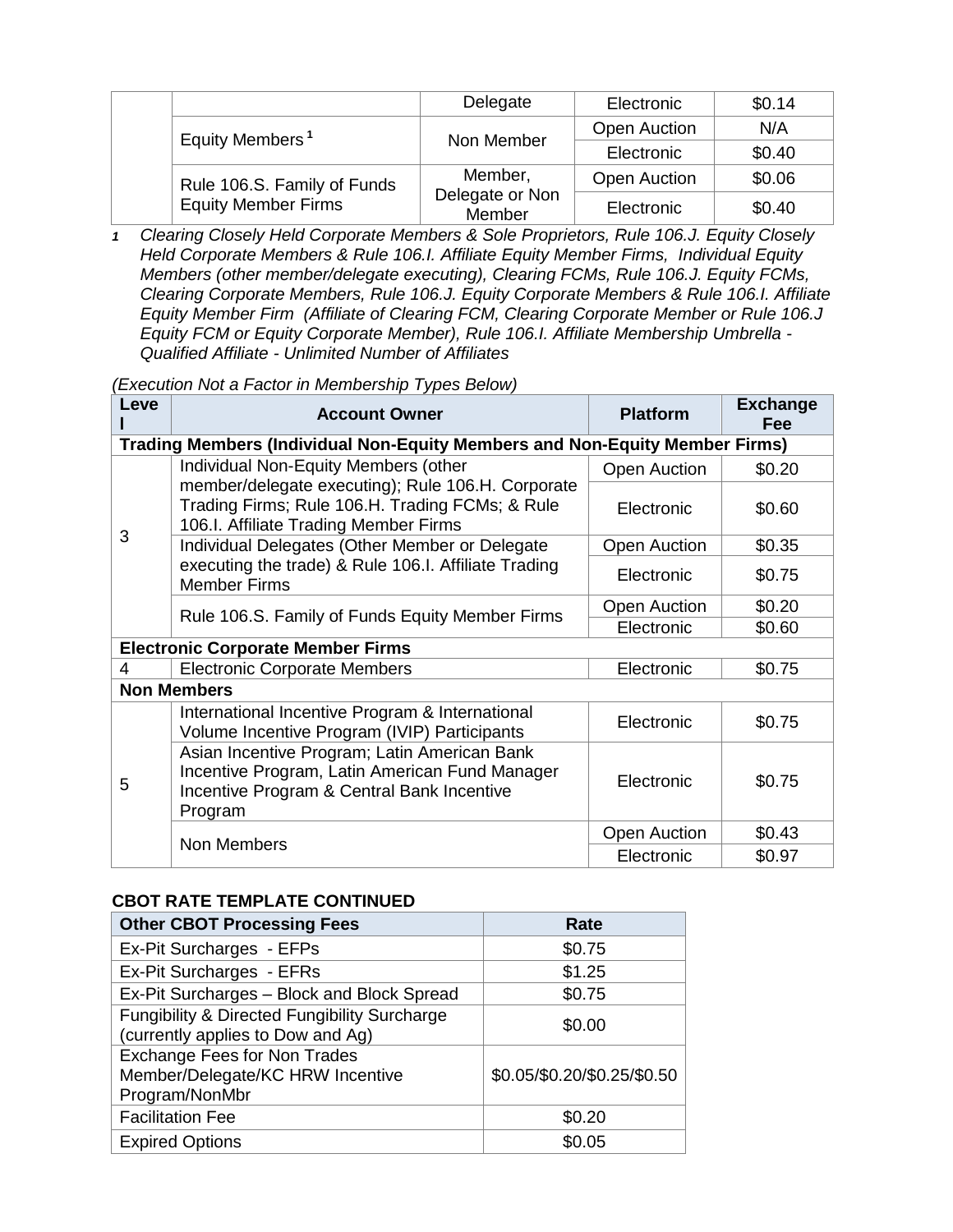|  |                                                           | Delegate                  | Electronic          | \$0.14 |
|--|-----------------------------------------------------------|---------------------------|---------------------|--------|
|  | Equity Members <sup>1</sup>                               | Non Member                | <b>Open Auction</b> | N/A    |
|  |                                                           |                           | Electronic          | \$0.40 |
|  | Rule 106.S. Family of Funds<br><b>Equity Member Firms</b> | Member,                   | <b>Open Auction</b> | \$0.06 |
|  |                                                           | Delegate or Non<br>Member | Electronic          | \$0.40 |

*1 Clearing Closely Held Corporate Members & Sole Proprietors, Rule 106.J. Equity Closely Held Corporate Members & Rule 106.I. Affiliate Equity Member Firms, Individual Equity Members (other member/delegate executing), Clearing FCMs, Rule 106.J. Equity FCMs, Clearing Corporate Members, Rule 106.J. Equity Corporate Members & Rule 106.I. Affiliate Equity Member Firm (Affiliate of Clearing FCM, Clearing Corporate Member or Rule 106.J Equity FCM or Equity Corporate Member), Rule 106.I. Affiliate Membership Umbrella - Qualified Affiliate - Unlimited Number of Affiliates*

*(Execution Not a Factor in Membership Types Below)*

| Leve                                     | <b>Account Owner</b>                                                                                                                                    | <b>Platform</b>     | <b>Exchange</b><br><b>Fee</b> |  |  |  |  |
|------------------------------------------|---------------------------------------------------------------------------------------------------------------------------------------------------------|---------------------|-------------------------------|--|--|--|--|
|                                          | Trading Members (Individual Non-Equity Members and Non-Equity Member Firms)                                                                             |                     |                               |  |  |  |  |
|                                          | Individual Non-Equity Members (other                                                                                                                    | <b>Open Auction</b> | \$0.20                        |  |  |  |  |
|                                          | member/delegate executing); Rule 106.H. Corporate<br>Trading Firms; Rule 106.H. Trading FCMs; & Rule<br>106.I. Affiliate Trading Member Firms           | Electronic          | \$0.60                        |  |  |  |  |
| 3                                        | Individual Delegates (Other Member or Delegate                                                                                                          | <b>Open Auction</b> | \$0.35                        |  |  |  |  |
|                                          | executing the trade) & Rule 106.I. Affiliate Trading<br><b>Member Firms</b>                                                                             | Electronic          | \$0.75                        |  |  |  |  |
|                                          |                                                                                                                                                         | <b>Open Auction</b> | \$0.20                        |  |  |  |  |
|                                          | Rule 106.S. Family of Funds Equity Member Firms                                                                                                         | Electronic          | \$0.60                        |  |  |  |  |
| <b>Electronic Corporate Member Firms</b> |                                                                                                                                                         |                     |                               |  |  |  |  |
| 4                                        | <b>Electronic Corporate Members</b>                                                                                                                     | Electronic          | \$0.75                        |  |  |  |  |
| <b>Non Members</b>                       |                                                                                                                                                         |                     |                               |  |  |  |  |
|                                          | International Incentive Program & International<br>Volume Incentive Program (IVIP) Participants                                                         | Electronic          | \$0.75                        |  |  |  |  |
| 5                                        | Asian Incentive Program; Latin American Bank<br>Incentive Program, Latin American Fund Manager<br>Incentive Program & Central Bank Incentive<br>Program | Electronic          | \$0.75                        |  |  |  |  |
|                                          |                                                                                                                                                         | <b>Open Auction</b> | \$0.43                        |  |  |  |  |
|                                          | Non Members                                                                                                                                             | Electronic          | \$0.97                        |  |  |  |  |

## **CBOT RATE TEMPLATE CONTINUED**

| <b>Other CBOT Processing Fees</b>                                                            | Rate                        |
|----------------------------------------------------------------------------------------------|-----------------------------|
| Ex-Pit Surcharges - EFPs                                                                     | \$0.75                      |
| Ex-Pit Surcharges - EFRs                                                                     | \$1.25                      |
| Ex-Pit Surcharges - Block and Block Spread                                                   | \$0.75                      |
| <b>Fungibility &amp; Directed Fungibility Surcharge</b><br>(currently applies to Dow and Ag) | \$0.00                      |
| <b>Exchange Fees for Non Trades</b><br>Member/Delegate/KC HRW Incentive<br>Program/NonMbr    | \$0.05/\$0.20/\$0.25/\$0.50 |
| <b>Facilitation Fee</b>                                                                      | \$0.20                      |
| <b>Expired Options</b>                                                                       | \$0.05                      |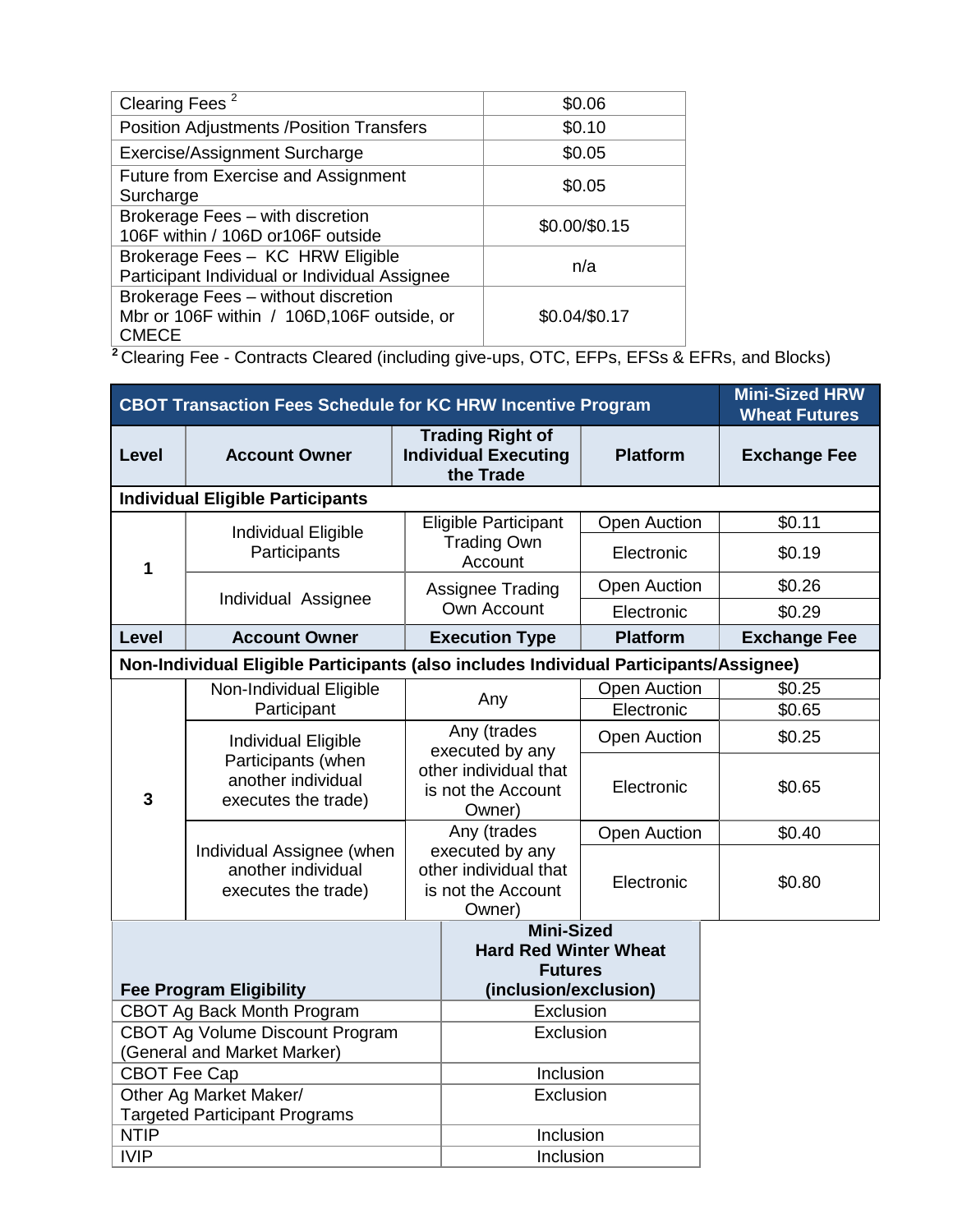| Clearing Fees <sup>2</sup>                                                                         | \$0.06        |
|----------------------------------------------------------------------------------------------------|---------------|
| <b>Position Adjustments /Position Transfers</b>                                                    | \$0.10        |
| Exercise/Assignment Surcharge                                                                      | \$0.05        |
| Future from Exercise and Assignment<br>Surcharge                                                   | \$0.05        |
| Brokerage Fees - with discretion<br>106F within / 106D or106F outside                              | \$0.00/\$0.15 |
| Brokerage Fees - KC HRW Eligible<br>Participant Individual or Individual Assignee                  | n/a           |
| Brokerage Fees - without discretion<br>Mbr or 106F within / 106D, 106F outside, or<br><b>CMECE</b> | \$0.04/\$0.17 |

**<sup>2</sup>**Clearing Fee - Contracts Cleared (including give-ups, OTC, EFPs, EFSs & EFRs, and Blocks)

| <b>CBOT Transaction Fees Schedule for KC HRW Incentive Program</b> | <b>Mini-Sized HRW</b><br><b>Wheat Futures</b>                                          |           |                                                                          |                     |                     |
|--------------------------------------------------------------------|----------------------------------------------------------------------------------------|-----------|--------------------------------------------------------------------------|---------------------|---------------------|
| Level                                                              | <b>Account Owner</b>                                                                   |           | <b>Trading Right of</b><br><b>Individual Executing</b><br>the Trade      | <b>Platform</b>     | <b>Exchange Fee</b> |
|                                                                    | <b>Individual Eligible Participants</b>                                                |           |                                                                          |                     |                     |
|                                                                    | Individual Eligible                                                                    |           | Eligible Participant                                                     | <b>Open Auction</b> | \$0.11              |
| $\mathbf 1$                                                        | Participants                                                                           |           | <b>Trading Own</b><br>Account                                            | Electronic          | \$0.19              |
|                                                                    | Individual Assignee                                                                    |           | Assignee Trading                                                         | <b>Open Auction</b> | \$0.26              |
|                                                                    |                                                                                        |           | Own Account                                                              | Electronic          | \$0.29              |
| <b>Level</b>                                                       | <b>Account Owner</b>                                                                   |           | <b>Execution Type</b>                                                    | <b>Platform</b>     | <b>Exchange Fee</b> |
|                                                                    | Non-Individual Eligible Participants (also includes Individual Participants/Assignee)  |           |                                                                          |                     |                     |
| Non-Individual Eligible                                            |                                                                                        |           | <b>Open Auction</b>                                                      |                     | \$0.25              |
|                                                                    | Participant                                                                            |           | Any                                                                      | Electronic          | \$0.65              |
| 3                                                                  | Individual Eligible<br>Participants (when<br>another individual<br>executes the trade) |           | Any (trades<br>executed by any                                           | <b>Open Auction</b> | \$0.25              |
|                                                                    |                                                                                        |           | other individual that<br>is not the Account<br>Owner)                    | Electronic          | \$0.65              |
|                                                                    |                                                                                        |           | Any (trades                                                              | <b>Open Auction</b> | \$0.40              |
|                                                                    | Individual Assignee (when<br>another individual<br>executes the trade)                 |           | executed by any<br>other individual that<br>is not the Account<br>Owner) | Electronic          | \$0.80              |
|                                                                    |                                                                                        |           | <b>Mini-Sized</b>                                                        |                     |                     |
|                                                                    |                                                                                        |           | <b>Hard Red Winter Wheat</b><br><b>Futures</b>                           |                     |                     |
| <b>Fee Program Eligibility</b>                                     |                                                                                        |           | (inclusion/exclusion)                                                    |                     |                     |
| CBOT Ag Back Month Program                                         |                                                                                        | Exclusion |                                                                          |                     |                     |
| CBOT Ag Volume Discount Program                                    |                                                                                        | Exclusion |                                                                          |                     |                     |
| (General and Market Marker)                                        |                                                                                        |           |                                                                          |                     |                     |
| <b>CBOT Fee Cap</b>                                                |                                                                                        | Inclusion |                                                                          |                     |                     |
| Other Ag Market Maker/                                             |                                                                                        | Exclusion |                                                                          |                     |                     |
| <b>Targeted Participant Programs</b>                               |                                                                                        |           |                                                                          |                     |                     |
| <b>NTIP</b>                                                        |                                                                                        |           | Inclusion                                                                |                     |                     |
| <b>IVIP</b>                                                        |                                                                                        |           | Inclusion                                                                |                     |                     |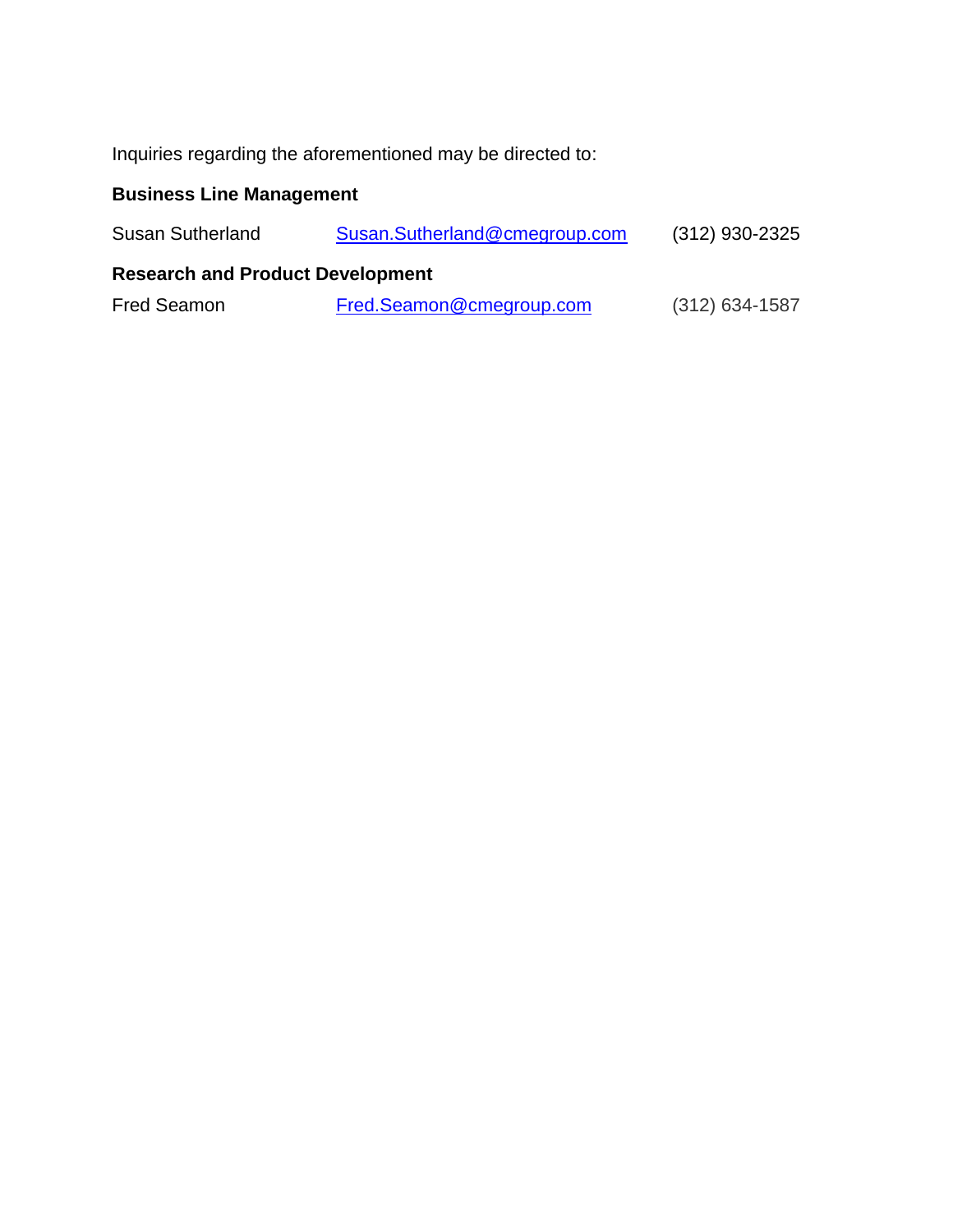Inquiries regarding the aforementioned may be directed to:

# **Business Line Management**

| <b>Susan Sutherland</b>                 | Susan.Sutherland@cmegroup.com | $(312)$ 930-2325 |  |  |  |
|-----------------------------------------|-------------------------------|------------------|--|--|--|
| <b>Research and Product Development</b> |                               |                  |  |  |  |
| <b>Fred Seamon</b>                      | Fred.Seamon@cmegroup.com      | $(312)$ 634-1587 |  |  |  |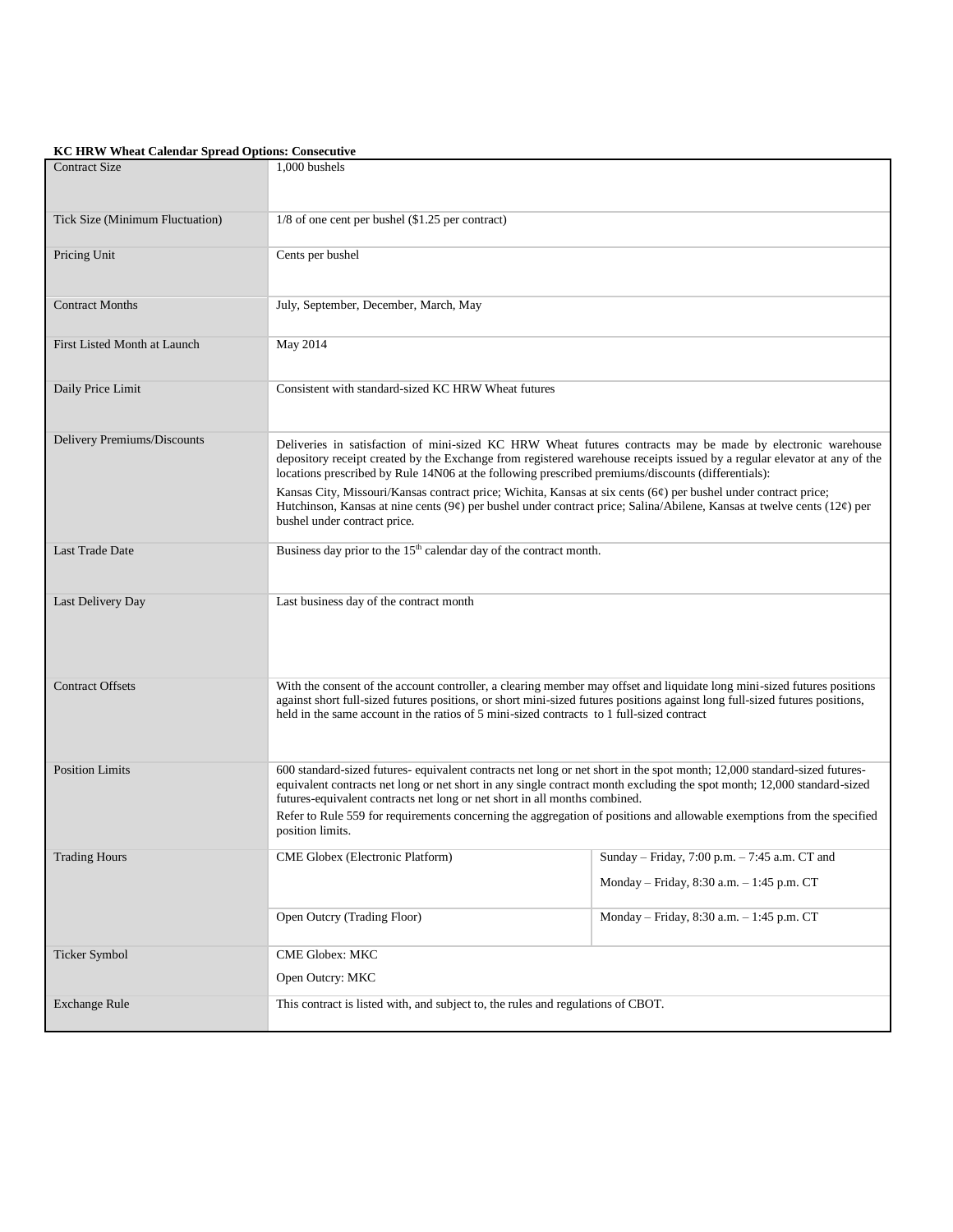#### **KC HRW Wheat Calendar Spread Options: Consecutive**

| <b>Contract Size</b>            | 1,000 bushels                                                                                                                                                                                                                                                                                                                                                                                                                                                                  |                                               |  |  |
|---------------------------------|--------------------------------------------------------------------------------------------------------------------------------------------------------------------------------------------------------------------------------------------------------------------------------------------------------------------------------------------------------------------------------------------------------------------------------------------------------------------------------|-----------------------------------------------|--|--|
| Tick Size (Minimum Fluctuation) | 1/8 of one cent per bushel (\$1.25 per contract)                                                                                                                                                                                                                                                                                                                                                                                                                               |                                               |  |  |
| Pricing Unit                    | Cents per bushel                                                                                                                                                                                                                                                                                                                                                                                                                                                               |                                               |  |  |
| <b>Contract Months</b>          | July, September, December, March, May                                                                                                                                                                                                                                                                                                                                                                                                                                          |                                               |  |  |
| First Listed Month at Launch    | May 2014                                                                                                                                                                                                                                                                                                                                                                                                                                                                       |                                               |  |  |
| Daily Price Limit               | Consistent with standard-sized KC HRW Wheat futures                                                                                                                                                                                                                                                                                                                                                                                                                            |                                               |  |  |
| Delivery Premiums/Discounts     | Deliveries in satisfaction of mini-sized KC HRW Wheat futures contracts may be made by electronic warehouse<br>depository receipt created by the Exchange from registered warehouse receipts issued by a regular elevator at any of the<br>locations prescribed by Rule 14N06 at the following prescribed premiums/discounts (differentials):                                                                                                                                  |                                               |  |  |
|                                 | Kansas City, Missouri/Kansas contract price; Wichita, Kansas at six cents (6¢) per bushel under contract price;<br>Hutchinson, Kansas at nine cents (9¢) per bushel under contract price; Salina/Abilene, Kansas at twelve cents (12¢) per<br>bushel under contract price.                                                                                                                                                                                                     |                                               |  |  |
| <b>Last Trade Date</b>          | Business day prior to the 15 <sup>th</sup> calendar day of the contract month.                                                                                                                                                                                                                                                                                                                                                                                                 |                                               |  |  |
| Last Delivery Day               | Last business day of the contract month                                                                                                                                                                                                                                                                                                                                                                                                                                        |                                               |  |  |
| <b>Contract Offsets</b>         | With the consent of the account controller, a clearing member may offset and liquidate long mini-sized futures positions<br>against short full-sized futures positions, or short mini-sized futures positions against long full-sized futures positions,<br>held in the same account in the ratios of 5 mini-sized contracts to 1 full-sized contract                                                                                                                          |                                               |  |  |
| <b>Position Limits</b>          | 600 standard-sized futures-equivalent contracts net long or net short in the spot month; 12,000 standard-sized futures-<br>equivalent contracts net long or net short in any single contract month excluding the spot month; 12,000 standard-sized<br>futures-equivalent contracts net long or net short in all months combined.<br>Refer to Rule 559 for requirements concerning the aggregation of positions and allowable exemptions from the specified<br>position limits. |                                               |  |  |
| Trading Hours                   | CME Globex (Electronic Platform)                                                                                                                                                                                                                                                                                                                                                                                                                                               | Sunday – Friday, 7:00 p.m. – 7:45 a.m. CT and |  |  |
|                                 |                                                                                                                                                                                                                                                                                                                                                                                                                                                                                | Monday - Friday, 8:30 a.m. - 1:45 p.m. CT     |  |  |
|                                 | Open Outcry (Trading Floor)                                                                                                                                                                                                                                                                                                                                                                                                                                                    | Monday - Friday, 8:30 a.m. - 1:45 p.m. CT     |  |  |
| Ticker Symbol                   | <b>CME Globex: MKC</b>                                                                                                                                                                                                                                                                                                                                                                                                                                                         |                                               |  |  |
|                                 | Open Outcry: MKC                                                                                                                                                                                                                                                                                                                                                                                                                                                               |                                               |  |  |
| <b>Exchange Rule</b>            | This contract is listed with, and subject to, the rules and regulations of CBOT.                                                                                                                                                                                                                                                                                                                                                                                               |                                               |  |  |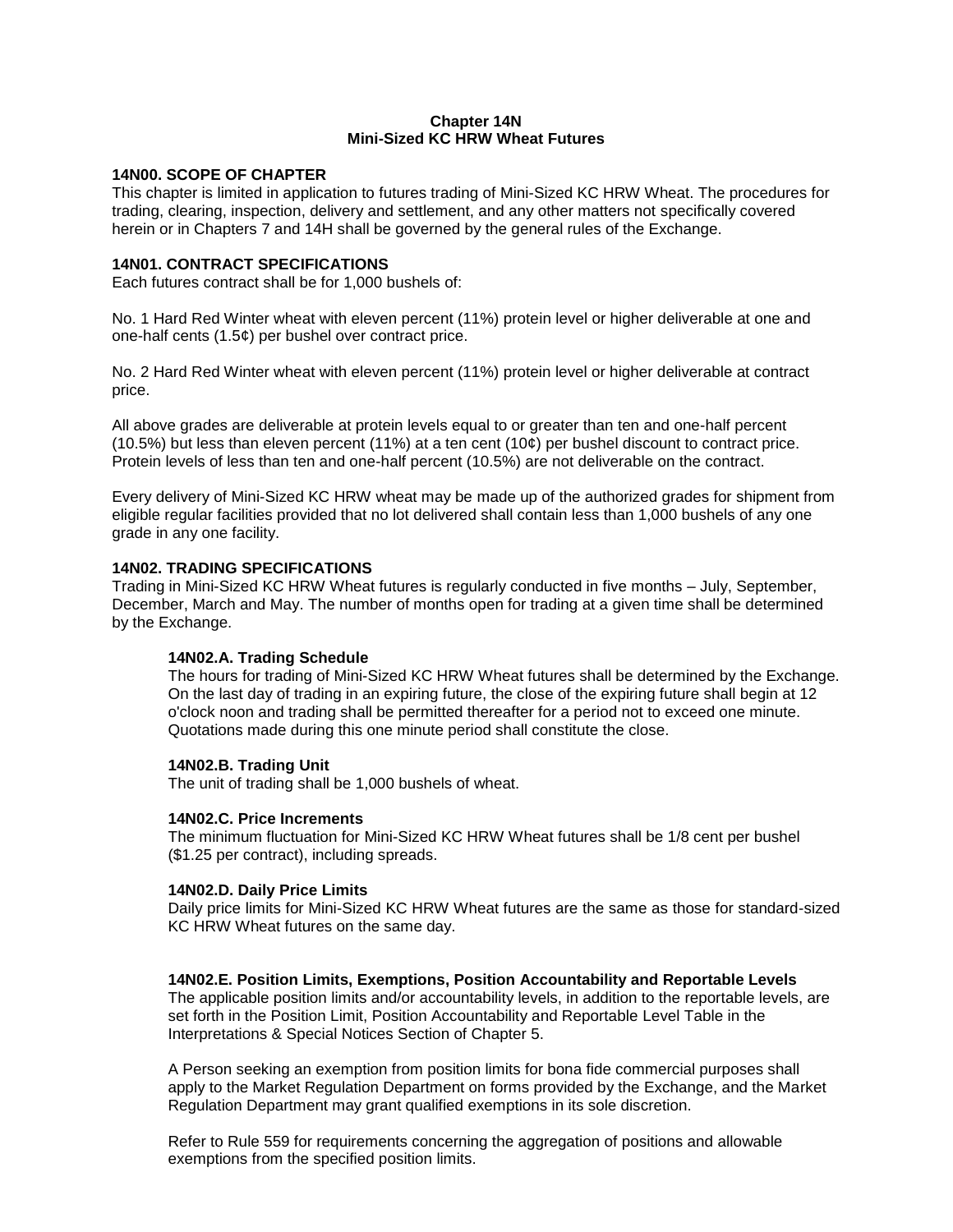## **Chapter 14N Mini-Sized KC HRW Wheat Futures**

### **14N00. SCOPE OF CHAPTER**

This chapter is limited in application to futures trading of Mini-Sized KC HRW Wheat. The procedures for trading, clearing, inspection, delivery and settlement, and any other matters not specifically covered herein or in Chapters 7 and 14H shall be governed by the general rules of the Exchange.

### **14N01. CONTRACT SPECIFICATIONS**

Each futures contract shall be for 1,000 bushels of:

No. 1 Hard Red Winter wheat with eleven percent (11%) protein level or higher deliverable at one and one-half cents (1.5¢) per bushel over contract price.

No. 2 Hard Red Winter wheat with eleven percent (11%) protein level or higher deliverable at contract price.

All above grades are deliverable at protein levels equal to or greater than ten and one-half percent (10.5%) but less than eleven percent (11%) at a ten cent (10 $\phi$ ) per bushel discount to contract price. Protein levels of less than ten and one-half percent (10.5%) are not deliverable on the contract.

Every delivery of Mini-Sized KC HRW wheat may be made up of the authorized grades for shipment from eligible regular facilities provided that no lot delivered shall contain less than 1,000 bushels of any one grade in any one facility.

## **14N02. TRADING SPECIFICATIONS**

Trading in Mini-Sized KC HRW Wheat futures is regularly conducted in five months – July, September, December, March and May. The number of months open for trading at a given time shall be determined by the Exchange.

## **14N02.A. Trading Schedule**

The hours for trading of Mini-Sized KC HRW Wheat futures shall be determined by the Exchange. On the last day of trading in an expiring future, the close of the expiring future shall begin at 12 o'clock noon and trading shall be permitted thereafter for a period not to exceed one minute. Quotations made during this one minute period shall constitute the close.

## **14N02.B. Trading Unit**

The unit of trading shall be 1,000 bushels of wheat.

#### **14N02.C. Price Increments**

The minimum fluctuation for Mini-Sized KC HRW Wheat futures shall be 1/8 cent per bushel (\$1.25 per contract), including spreads.

#### **14N02.D. Daily Price Limits**

Daily price limits for Mini-Sized KC HRW Wheat futures are the same as those for standard-sized KC HRW Wheat futures on the same day.

#### **14N02.E. Position Limits, Exemptions, Position Accountability and Reportable Levels**

The applicable position limits and/or accountability levels, in addition to the reportable levels, are set forth in the Position Limit, Position Accountability and Reportable Level Table in the Interpretations & Special Notices Section of Chapter 5.

A Person seeking an exemption from position limits for bona fide commercial purposes shall apply to the Market Regulation Department on forms provided by the Exchange, and the Market Regulation Department may grant qualified exemptions in its sole discretion.

Refer to Rule 559 for requirements concerning the aggregation of positions and allowable exemptions from the specified position limits.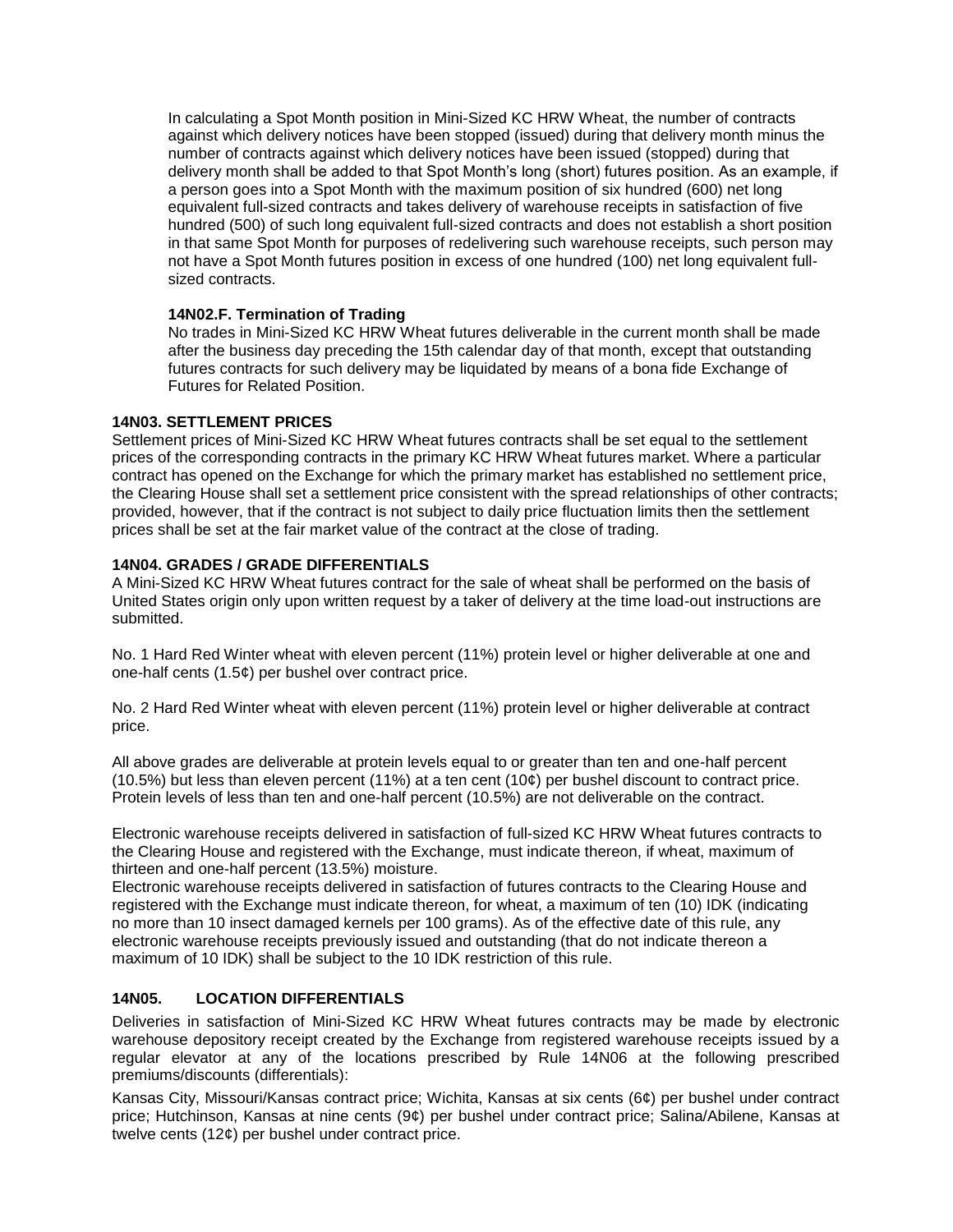In calculating a Spot Month position in Mini-Sized KC HRW Wheat, the number of contracts against which delivery notices have been stopped (issued) during that delivery month minus the number of contracts against which delivery notices have been issued (stopped) during that delivery month shall be added to that Spot Month's long (short) futures position. As an example, if a person goes into a Spot Month with the maximum position of six hundred (600) net long equivalent full-sized contracts and takes delivery of warehouse receipts in satisfaction of five hundred (500) of such long equivalent full-sized contracts and does not establish a short position in that same Spot Month for purposes of redelivering such warehouse receipts, such person may not have a Spot Month futures position in excess of one hundred (100) net long equivalent fullsized contracts.

## **14N02.F. Termination of Trading**

No trades in Mini-Sized KC HRW Wheat futures deliverable in the current month shall be made after the business day preceding the 15th calendar day of that month, except that outstanding futures contracts for such delivery may be liquidated by means of a bona fide Exchange of Futures for Related Position.

## **14N03. SETTLEMENT PRICES**

Settlement prices of Mini-Sized KC HRW Wheat futures contracts shall be set equal to the settlement prices of the corresponding contracts in the primary KC HRW Wheat futures market. Where a particular contract has opened on the Exchange for which the primary market has established no settlement price, the Clearing House shall set a settlement price consistent with the spread relationships of other contracts; provided, however, that if the contract is not subject to daily price fluctuation limits then the settlement prices shall be set at the fair market value of the contract at the close of trading.

## **14N04. GRADES / GRADE DIFFERENTIALS**

A Mini-Sized KC HRW Wheat futures contract for the sale of wheat shall be performed on the basis of United States origin only upon written request by a taker of delivery at the time load-out instructions are submitted.

No. 1 Hard Red Winter wheat with eleven percent (11%) protein level or higher deliverable at one and one-half cents (1.5¢) per bushel over contract price.

No. 2 Hard Red Winter wheat with eleven percent (11%) protein level or higher deliverable at contract price.

All above grades are deliverable at protein levels equal to or greater than ten and one-half percent  $(10.5%)$  but less than eleven percent  $(11%)$  at a ten cent  $(10¢)$  per bushel discount to contract price. Protein levels of less than ten and one-half percent (10.5%) are not deliverable on the contract.

Electronic warehouse receipts delivered in satisfaction of full-sized KC HRW Wheat futures contracts to the Clearing House and registered with the Exchange, must indicate thereon, if wheat, maximum of thirteen and one-half percent (13.5%) moisture.

Electronic warehouse receipts delivered in satisfaction of futures contracts to the Clearing House and registered with the Exchange must indicate thereon, for wheat, a maximum of ten (10) IDK (indicating no more than 10 insect damaged kernels per 100 grams). As of the effective date of this rule, any electronic warehouse receipts previously issued and outstanding (that do not indicate thereon a maximum of 10 IDK) shall be subject to the 10 IDK restriction of this rule.

## **14N05. LOCATION DIFFERENTIALS**

Deliveries in satisfaction of Mini-Sized KC HRW Wheat futures contracts may be made by electronic warehouse depository receipt created by the Exchange from registered warehouse receipts issued by a regular elevator at any of the locations prescribed by Rule 14N06 at the following prescribed premiums/discounts (differentials):

Kansas City, Missouri/Kansas contract price; Wichita, Kansas at six cents (6¢) per bushel under contract price; Hutchinson, Kansas at nine cents (9¢) per bushel under contract price; Salina/Abilene, Kansas at twelve cents (12¢) per bushel under contract price.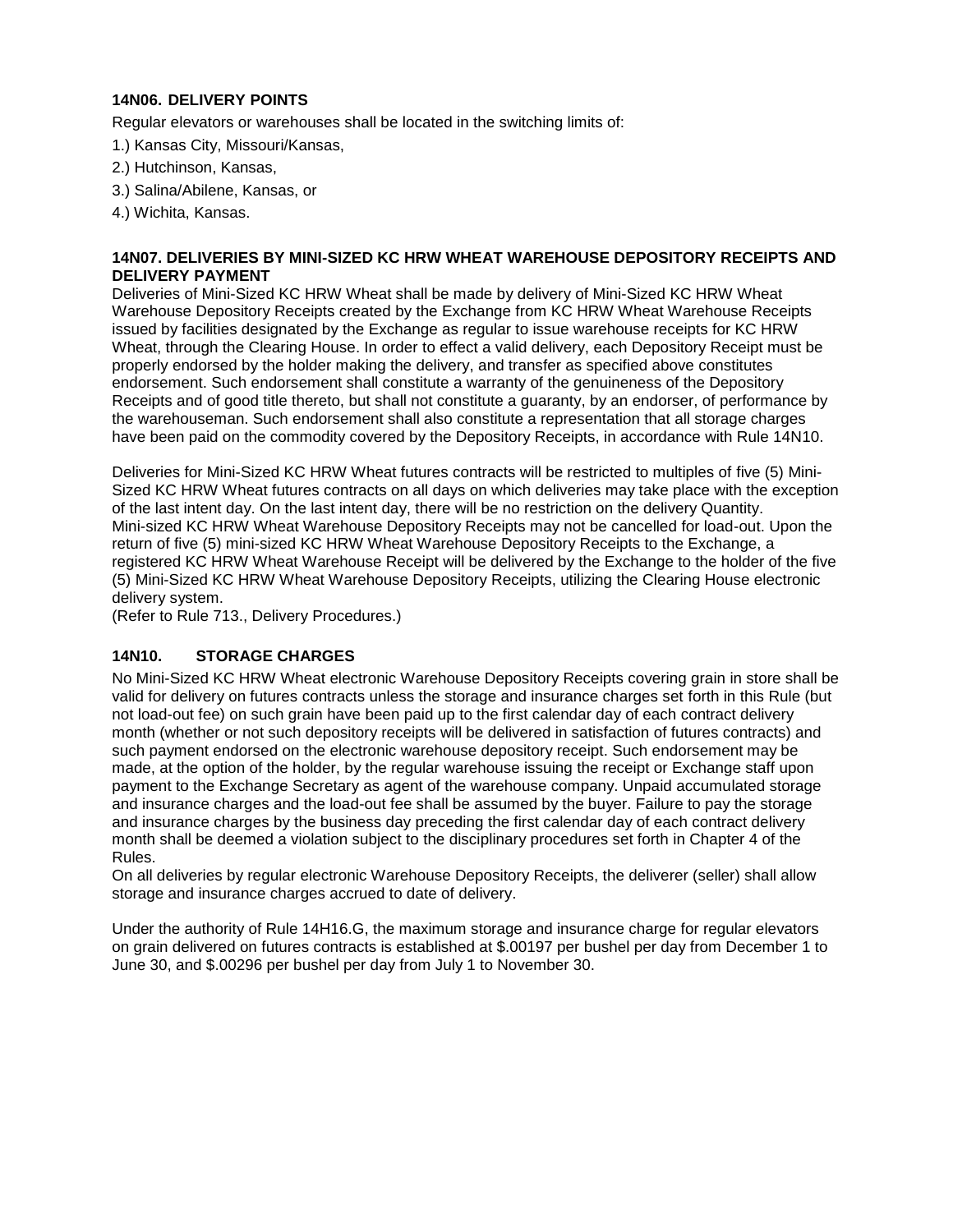## **14N06. DELIVERY POINTS**

Regular elevators or warehouses shall be located in the switching limits of:

- 1.) Kansas City, Missouri/Kansas,
- 2.) Hutchinson, Kansas,
- 3.) Salina/Abilene, Kansas, or
- 4.) Wichita, Kansas.

## **14N07. DELIVERIES BY MINI-SIZED KC HRW WHEAT WAREHOUSE DEPOSITORY RECEIPTS AND DELIVERY PAYMENT**

Deliveries of Mini-Sized KC HRW Wheat shall be made by delivery of Mini-Sized KC HRW Wheat Warehouse Depository Receipts created by the Exchange from KC HRW Wheat Warehouse Receipts issued by facilities designated by the Exchange as regular to issue warehouse receipts for KC HRW Wheat, through the Clearing House. In order to effect a valid delivery, each Depository Receipt must be properly endorsed by the holder making the delivery, and transfer as specified above constitutes endorsement. Such endorsement shall constitute a warranty of the genuineness of the Depository Receipts and of good title thereto, but shall not constitute a guaranty, by an endorser, of performance by the warehouseman. Such endorsement shall also constitute a representation that all storage charges have been paid on the commodity covered by the Depository Receipts, in accordance with Rule 14N10.

Deliveries for Mini-Sized KC HRW Wheat futures contracts will be restricted to multiples of five (5) Mini-Sized KC HRW Wheat futures contracts on all days on which deliveries may take place with the exception of the last intent day. On the last intent day, there will be no restriction on the delivery Quantity. Mini-sized KC HRW Wheat Warehouse Depository Receipts may not be cancelled for load-out. Upon the return of five (5) mini-sized KC HRW Wheat Warehouse Depository Receipts to the Exchange, a registered KC HRW Wheat Warehouse Receipt will be delivered by the Exchange to the holder of the five (5) Mini-Sized KC HRW Wheat Warehouse Depository Receipts, utilizing the Clearing House electronic delivery system.

(Refer to Rule 713., Delivery Procedures.)

## **14N10. STORAGE CHARGES**

No Mini-Sized KC HRW Wheat electronic Warehouse Depository Receipts covering grain in store shall be valid for delivery on futures contracts unless the storage and insurance charges set forth in this Rule (but not load-out fee) on such grain have been paid up to the first calendar day of each contract delivery month (whether or not such depository receipts will be delivered in satisfaction of futures contracts) and such payment endorsed on the electronic warehouse depository receipt. Such endorsement may be made, at the option of the holder, by the regular warehouse issuing the receipt or Exchange staff upon payment to the Exchange Secretary as agent of the warehouse company. Unpaid accumulated storage and insurance charges and the load-out fee shall be assumed by the buyer. Failure to pay the storage and insurance charges by the business day preceding the first calendar day of each contract delivery month shall be deemed a violation subject to the disciplinary procedures set forth in Chapter 4 of the Rules.

On all deliveries by regular electronic Warehouse Depository Receipts, the deliverer (seller) shall allow storage and insurance charges accrued to date of delivery.

Under the authority of Rule 14H16.G, the maximum storage and insurance charge for regular elevators on grain delivered on futures contracts is established at \$.00197 per bushel per day from December 1 to June 30, and \$.00296 per bushel per day from July 1 to November 30.